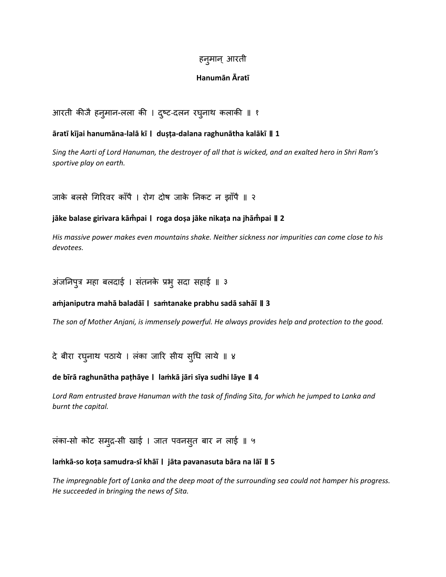# हन्**मान्** आरती

## **Hanumān Āratī**

आरती कीजै हन् मान-लला की । द्दष्ट-दलन रघ्नाथ कलाकी ॥ १

## **āratī kījai hanumāna-lalā kī । duṣṭa-dalana raghunātha kalākī ॥ 1**

*Sing the Aarti of Lord Hanuman, the destroyer of all that is wicked, and an exalted hero in Shri Ram's sportive play on earth.*

जाके बलसे गिरिवर काँपै । रोग दोष जाके निकट न झाँपै ॥ २

# **jāke balase girivara kām̐pai । roga doṣa jāke nikaṭa na jhām̐pai ॥ 2**

*His massive power makes even mountains shake. Neither sickness nor impurities can come close to his devotees.*

अंजनिपुत्र महा बलदाई । संतनके प्रभु सदा सहाई ॥ ३

## **aṁjaniputra mahā baladāī । saṁtanake prabhu sadā sahāī ॥ 3**

*The son of Mother Anjani, is immensely powerful. He always provides help and protection to the good.*

दे बीरा रघनाथ पठाये । लंका जारि सीय सृधि लाये ॥ ४

## **de bīrā raghunātha paṭhāye । laṁkā jāri sīya sudhi lāye ॥ 4**

Lord Ram entrusted brave Hanuman with the task of finding Sita, for which he jumped to Lanka and *burnt the capital.*

लंका-सो कोट समद्रु-सी खाई । जात पवनसतु बार न लाई ॥ ५

## **laṁkā-so koṭa samudra-sī khāī । jāta pavanasuta bāra na lāī ॥ 5**

*The impregnable fort of Lanka and the deep moat of the surrounding sea could not hamper his progress. He succeeded in bringing the news of Sita.*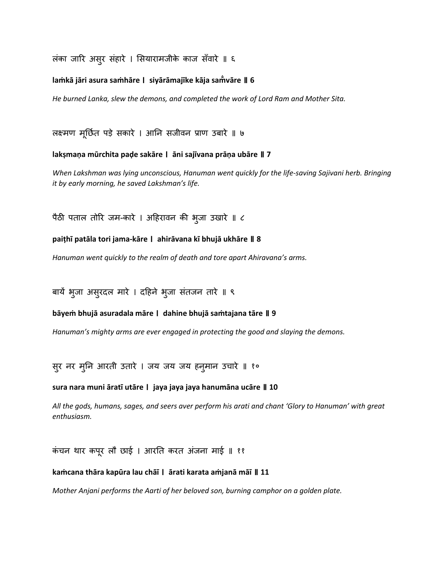लंका जारि असुर संहारे । सियारामजीके काज सँवारे ॥ ६

### **laṁkā jāri asura saṁhāre । siyārāmajīke kāja sam̐vāre ॥ 6**

*He burned Lanka, slew the demons, and completed the work of Lord Ram and Mother Sita.*

लक्ष्मण मनूछित पडे सकारे । आनन सजीवन प्राण उबारे ॥ ७

#### **lakṣmaṇa mūrchita paḍe sakāre । āni sajīvana prāṇa ubāre ॥ 7**

*When Lakshman was lying unconscious, Hanuman went quickly for the life-saving Sajivani herb. Bringing it by early morning, he saved Lakshman's life.*

पैठी पताल तोरि जम-कारे । अहिरावन की भूजा उखारे ॥ ८

#### **paiṭhī patāla tori jama-kāre । ahirāvana kī bhujā ukhāre ॥ 8**

*Hanuman went quickly to the realm of death and tore apart Ahiravana's arms.*

बायें भुजा असुरदल मारे । दहिने भुजा संतजन तारे ॥ ९

#### **bāyeṁ bhujā asuradala māre । dahine bhujā saṁtajana tāre ॥ 9**

*Hanuman's mighty arms are ever engaged in protecting the good and slaying the demons.*

सुर नर मूनि आरती उतारे । जय जय जय हनूमान उचारे ॥ १०

#### **sura nara muni āratī utāre । jaya jaya jaya hanumāna ucāre ॥ 10**

*All the gods, humans, sages, and seers aver perform his arati and chant 'Glory to Hanuman' with great enthusiasm.*

कंचन थार कपूर लौ छाई । आरति करत अंजना माई ॥ ११

#### **kaṁcana thāra kapūra lau chāī । ārati karata aṁjanā māī ॥ 11**

*Mother Anjani performs the Aarti of her beloved son, burning camphor on a golden plate.*